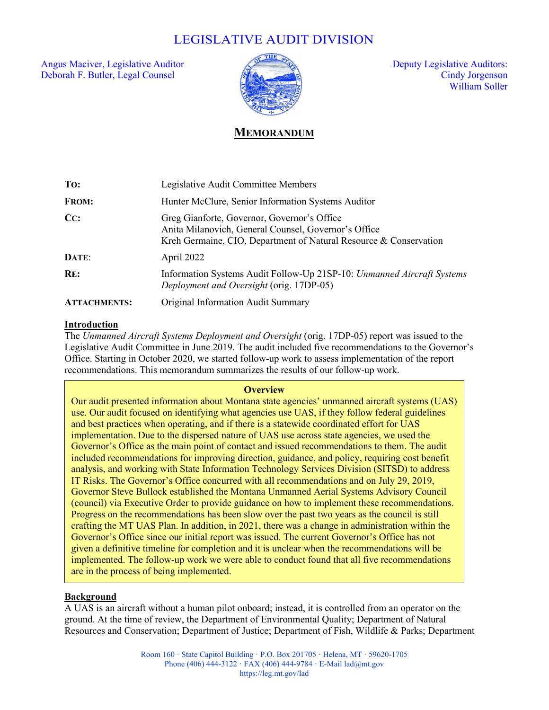# LEGISLATIVE AUDIT DIVISION

Angus Maciver, Legislative Auditor  $\sqrt{2}$  and  $\sqrt{2}$  Deputy Legislative Auditors: Deborah F. Butler, Legal Counsel Cindy Jorgenson



William Soller

## **MEMORANDUM**

| To:                 | Legislative Audit Committee Members                                                                                                                                      |
|---------------------|--------------------------------------------------------------------------------------------------------------------------------------------------------------------------|
| <b>FROM:</b>        | Hunter McClure, Senior Information Systems Auditor                                                                                                                       |
| CC:                 | Greg Gianforte, Governor, Governor's Office<br>Anita Milanovich, General Counsel, Governor's Office<br>Kreh Germaine, CIO, Department of Natural Resource & Conservation |
| DATE:               | April 2022                                                                                                                                                               |
| RE:                 | Information Systems Audit Follow-Up 21SP-10: Unmanned Aircraft Systems<br>Deployment and Oversight (orig. 17DP-05)                                                       |
| <b>ATTACHMENTS:</b> | Original Information Audit Summary                                                                                                                                       |

#### **Introduction**

ſ

The *Unmanned Aircraft Systems Deployment and Oversight* (orig. 17DP-05) report was issued to the Legislative Audit Committee in June 2019. The audit included five recommendations to the Governor's Office. Starting in October 2020, we started follow-up work to assess implementation of the report recommendations. This memorandum summarizes the results of our follow-up work.

#### **Overview**

Our audit presented information about Montana state agencies' unmanned aircraft systems (UAS) use. Our audit focused on identifying what agencies use UAS, if they follow federal guidelines and best practices when operating, and if there is a statewide coordinated effort for UAS implementation. Due to the dispersed nature of UAS use across state agencies, we used the Governor's Office as the main point of contact and issued recommendations to them. The audit included recommendations for improving direction, guidance, and policy, requiring cost benefit analysis, and working with State Information Technology Services Division (SITSD) to address IT Risks. The Governor's Office concurred with all recommendations and on July 29, 2019, Governor Steve Bullock established the Montana Unmanned Aerial Systems Advisory Council (council) via Executive Order to provide guidance on how to implement these recommendations. Progress on the recommendations has been slow over the past two years as the council is still crafting the MT UAS Plan. In addition, in 2021, there was a change in administration within the Governor's Office since our initial report was issued. The current Governor's Office has not given a definitive timeline for completion and it is unclear when the recommendations will be implemented. The follow-up work we were able to conduct found that all five recommendations are in the process of being implemented.

## **Background**

A UAS is an aircraft without a human pilot onboard; instead, it is controlled from an operator on the ground. At the time of review, the Department of Environmental Quality; Department of Natural Resources and Conservation; Department of Justice; Department of Fish, Wildlife & Parks; Department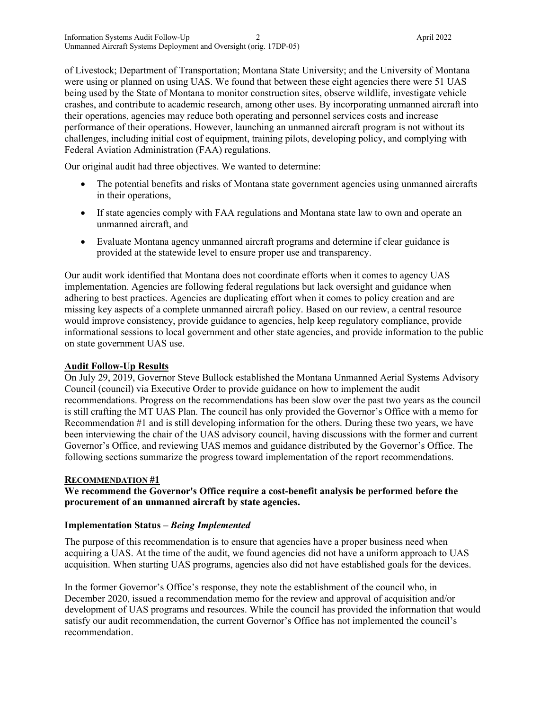of Livestock; Department of Transportation; Montana State University; and the University of Montana were using or planned on using UAS. We found that between these eight agencies there were 51 UAS being used by the State of Montana to monitor construction sites, observe wildlife, investigate vehicle crashes, and contribute to academic research, among other uses. By incorporating unmanned aircraft into their operations, agencies may reduce both operating and personnel services costs and increase performance of their operations. However, launching an unmanned aircraft program is not without its challenges, including initial cost of equipment, training pilots, developing policy, and complying with Federal Aviation Administration (FAA) regulations.

Our original audit had three objectives. We wanted to determine:

- The potential benefits and risks of Montana state government agencies using unmanned aircrafts in their operations,
- If state agencies comply with FAA regulations and Montana state law to own and operate an unmanned aircraft, and
- Evaluate Montana agency unmanned aircraft programs and determine if clear guidance is provided at the statewide level to ensure proper use and transparency.

Our audit work identified that Montana does not coordinate efforts when it comes to agency UAS implementation. Agencies are following federal regulations but lack oversight and guidance when adhering to best practices. Agencies are duplicating effort when it comes to policy creation and are missing key aspects of a complete unmanned aircraft policy. Based on our review, a central resource would improve consistency, provide guidance to agencies, help keep regulatory compliance, provide informational sessions to local government and other state agencies, and provide information to the public on state government UAS use.

#### **Audit Follow-Up Results**

On July 29, 2019, Governor Steve Bullock established the Montana Unmanned Aerial Systems Advisory Council (council) via Executive Order to provide guidance on how to implement the audit recommendations. Progress on the recommendations has been slow over the past two years as the council is still crafting the MT UAS Plan. The council has only provided the Governor's Office with a memo for Recommendation #1 and is still developing information for the others. During these two years, we have been interviewing the chair of the UAS advisory council, having discussions with the former and current Governor's Office, and reviewing UAS memos and guidance distributed by the Governor's Office. The following sections summarize the progress toward implementation of the report recommendations.

#### **RECOMMENDATION #1**

## **We recommend the Governor's Office require a cost-benefit analysis be performed before the procurement of an unmanned aircraft by state agencies.**

#### **Implementation Status –** *Being Implemented*

The purpose of this recommendation is to ensure that agencies have a proper business need when acquiring a UAS. At the time of the audit, we found agencies did not have a uniform approach to UAS acquisition. When starting UAS programs, agencies also did not have established goals for the devices.

In the former Governor's Office's response, they note the establishment of the council who, in December 2020, issued a recommendation memo for the review and approval of acquisition and/or development of UAS programs and resources. While the council has provided the information that would satisfy our audit recommendation, the current Governor's Office has not implemented the council's recommendation.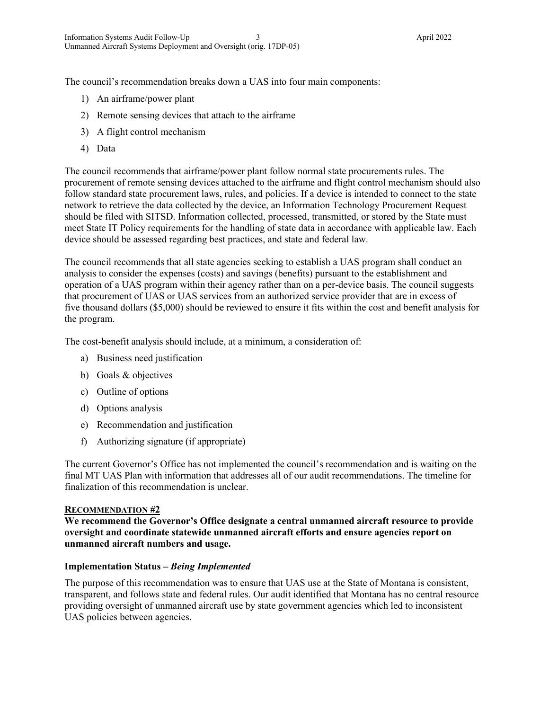The council's recommendation breaks down a UAS into four main components:

- 1) An airframe/power plant
- 2) Remote sensing devices that attach to the airframe
- 3) A flight control mechanism
- 4) Data

The council recommends that airframe/power plant follow normal state procurements rules. The procurement of remote sensing devices attached to the airframe and flight control mechanism should also follow standard state procurement laws, rules, and policies. If a device is intended to connect to the state network to retrieve the data collected by the device, an Information Technology Procurement Request should be filed with SITSD. Information collected, processed, transmitted, or stored by the State must meet State IT Policy requirements for the handling of state data in accordance with applicable law. Each device should be assessed regarding best practices, and state and federal law.

The council recommends that all state agencies seeking to establish a UAS program shall conduct an analysis to consider the expenses (costs) and savings (benefits) pursuant to the establishment and operation of a UAS program within their agency rather than on a per-device basis. The council suggests that procurement of UAS or UAS services from an authorized service provider that are in excess of five thousand dollars (\$5,000) should be reviewed to ensure it fits within the cost and benefit analysis for the program.

The cost-benefit analysis should include, at a minimum, a consideration of:

- a) Business need justification
- b) Goals & objectives
- c) Outline of options
- d) Options analysis
- e) Recommendation and justification
- f) Authorizing signature (if appropriate)

The current Governor's Office has not implemented the council's recommendation and is waiting on the final MT UAS Plan with information that addresses all of our audit recommendations. The timeline for finalization of this recommendation is unclear.

#### **RECOMMENDATION #2**

**We recommend the Governor's Office designate a central unmanned aircraft resource to provide oversight and coordinate statewide unmanned aircraft efforts and ensure agencies report on unmanned aircraft numbers and usage.**

#### **Implementation Status –** *Being Implemented*

The purpose of this recommendation was to ensure that UAS use at the State of Montana is consistent, transparent, and follows state and federal rules. Our audit identified that Montana has no central resource providing oversight of unmanned aircraft use by state government agencies which led to inconsistent UAS policies between agencies.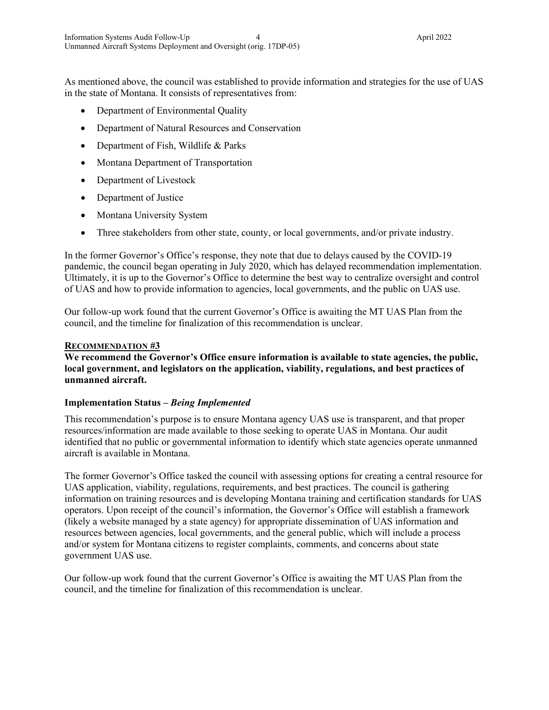As mentioned above, the council was established to provide information and strategies for the use of UAS in the state of Montana. It consists of representatives from:

- Department of Environmental Quality
- Department of Natural Resources and Conservation
- Department of Fish, Wildlife & Parks
- Montana Department of Transportation
- Department of Livestock
- Department of Justice
- Montana University System
- Three stakeholders from other state, county, or local governments, and/or private industry.

In the former Governor's Office's response, they note that due to delays caused by the COVID-19 pandemic, the council began operating in July 2020, which has delayed recommendation implementation. Ultimately, it is up to the Governor's Office to determine the best way to centralize oversight and control of UAS and how to provide information to agencies, local governments, and the public on UAS use.

Our follow-up work found that the current Governor's Office is awaiting the MT UAS Plan from the council, and the timeline for finalization of this recommendation is unclear.

#### **RECOMMENDATION #3**

## We recommend the Governor's Office ensure information is available to state agencies, the public, **local government, and legislators on the application, viability, regulations, and best practices of unmanned aircraft.**

#### **Implementation Status –** *Being Implemented*

This recommendation's purpose is to ensure Montana agency UAS use is transparent, and that proper resources/information are made available to those seeking to operate UAS in Montana. Our audit identified that no public or governmental information to identify which state agencies operate unmanned aircraft is available in Montana.

The former Governor's Office tasked the council with assessing options for creating a central resource for UAS application, viability, regulations, requirements, and best practices. The council is gathering information on training resources and is developing Montana training and certification standards for UAS operators. Upon receipt of the council's information, the Governor's Office will establish a framework (likely a website managed by a state agency) for appropriate dissemination of UAS information and resources between agencies, local governments, and the general public, which will include a process and/or system for Montana citizens to register complaints, comments, and concerns about state government UAS use.

Our follow-up work found that the current Governor's Office is awaiting the MT UAS Plan from the council, and the timeline for finalization of this recommendation is unclear.